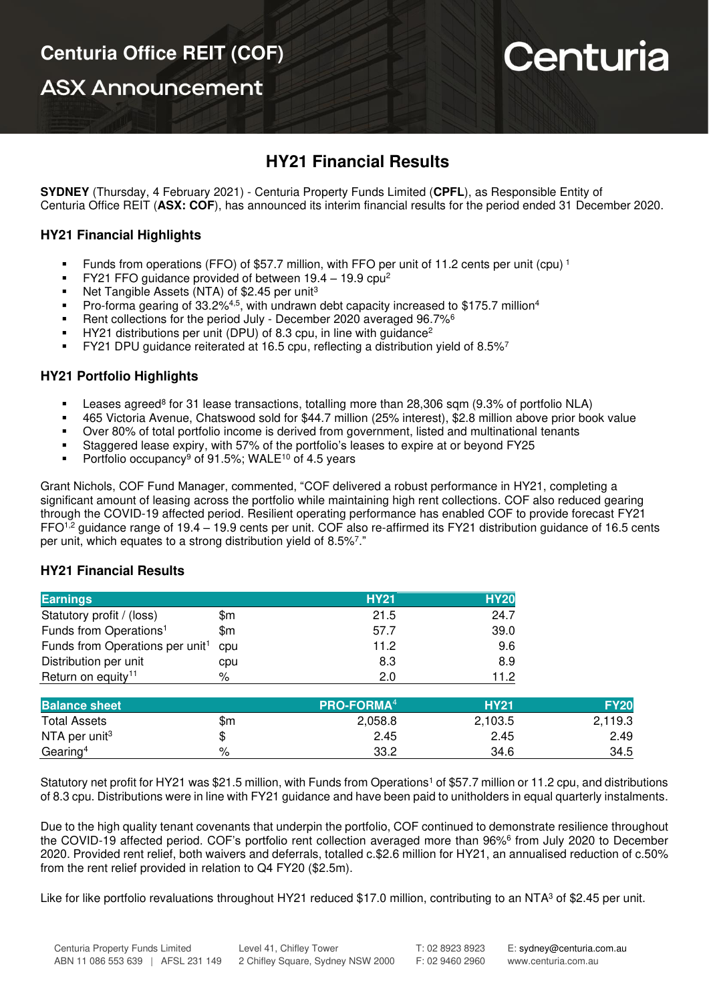**ASX Announcement** 

# Centuria

## **HY21 Financial Results**

**SYDNEY** (Thursday, 4 February 2021) - Centuria Property Funds Limited (**CPFL**), as Responsible Entity of Centuria Office REIT (**ASX: COF**), has announced its interim financial results for the period ended 31 December 2020.

## **HY21 Financial Highlights**

- Funds from operations (FFO) of \$57.7 million, with FFO per unit of 11.2 cents per unit (cpu)<sup>1</sup>
- FY21 FFO guidance provided of between  $19.4 19.9$  cpu<sup>2</sup>
- Net Tangible Assets (NTA) of \$2.45 per unit<sup>3</sup>
- **•** Pro-forma gearing of 33.2%<sup>4,5</sup>, with undrawn debt capacity increased to \$175.7 million<sup>4</sup>
- Rent collections for the period July December 2020 averaged 96.7%<sup>6</sup>
- $HY21$  distributions per unit (DPU) of 8.3 cpu, in line with guidance<sup>2</sup>
- FY21 DPU guidance reiterated at 16.5 cpu, reflecting a distribution yield of 8.5%<sup>7</sup>

### **HY21 Portfolio Highlights**

- Leases agreed<sup>8</sup> for 31 lease transactions, totalling more than 28,306 sqm (9.3% of portfolio NLA)
- 465 Victoria Avenue, Chatswood sold for \$44.7 million (25% interest), \$2.8 million above prior book value
- Over 80% of total portfolio income is derived from government, listed and multinational tenants
- Staggered lease expiry, with 57% of the portfolio's leases to expire at or beyond FY25
- **•** Portfolio occupancy<sup>9</sup> of 91.5%; WALE<sup>10</sup> of 4.5 years

Grant Nichols, COF Fund Manager, commented, "COF delivered a robust performance in HY21, completing a significant amount of leasing across the portfolio while maintaining high rent collections. COF also reduced gearing through the COVID-19 affected period. Resilient operating performance has enabled COF to provide forecast FY21 FFO<sup>1,2</sup> guidance range of 19.4 – 19.9 cents per unit. COF also re-affirmed its FY21 distribution guidance of 16.5 cents per unit, which equates to a strong distribution yield of 8.5%<sup>7</sup>."

### **HY21 Financial Results**

| <b>Earnings</b>                             |     | <b>HY21</b>            | <b>HY20</b> |
|---------------------------------------------|-----|------------------------|-------------|
| Statutory profit / (loss)                   | \$m | 21.5                   | 24.7        |
| Funds from Operations <sup>1</sup>          | \$m | 57.7                   | 39.0        |
| Funds from Operations per unit <sup>1</sup> | cpu | 11.2                   | 9.6         |
| Distribution per unit                       | cpu | 8.3                    | 8.9         |
| Return on equity <sup>11</sup>              | %   | 2.0                    | 11.2        |
|                                             |     |                        |             |
| <b>Balance sheet</b>                        |     | PRO-FORMA <sup>4</sup> | <b>HY21</b> |

| __________                |         | --------------- |         | ___     |
|---------------------------|---------|-----------------|---------|---------|
| <b>Total Assets</b>       | \$m     | 2,058.8         | 2,103.5 | 2,119.3 |
| NTA per unit <sup>3</sup> | ሖ<br>٨D | 2.45            | 2.45    | 2.49    |
| Gearing <sup>4</sup>      | $\%$    | 33.2            | 34.6    | 34.5    |
|                           |         |                 |         |         |

Statutory net profit for HY21 was \$21.5 million, with Funds from Operations<sup>1</sup> of \$57.7 million or 11.2 cpu, and distributions of 8.3 cpu. Distributions were in line with FY21 guidance and have been paid to unitholders in equal quarterly instalments.

Due to the high quality tenant covenants that underpin the portfolio, COF continued to demonstrate resilience throughout the COVID-19 affected period. COF's portfolio rent collection averaged more than 96%<sup>6</sup> from July 2020 to December 2020. Provided rent relief, both waivers and deferrals, totalled c.\$2.6 million for HY21, an annualised reduction of c.50% from the rent relief provided in relation to Q4 FY20 (\$2.5m).

Like for like portfolio revaluations throughout HY21 reduced \$17.0 million, contributing to an NTA<sup>3</sup> of \$2.45 per unit.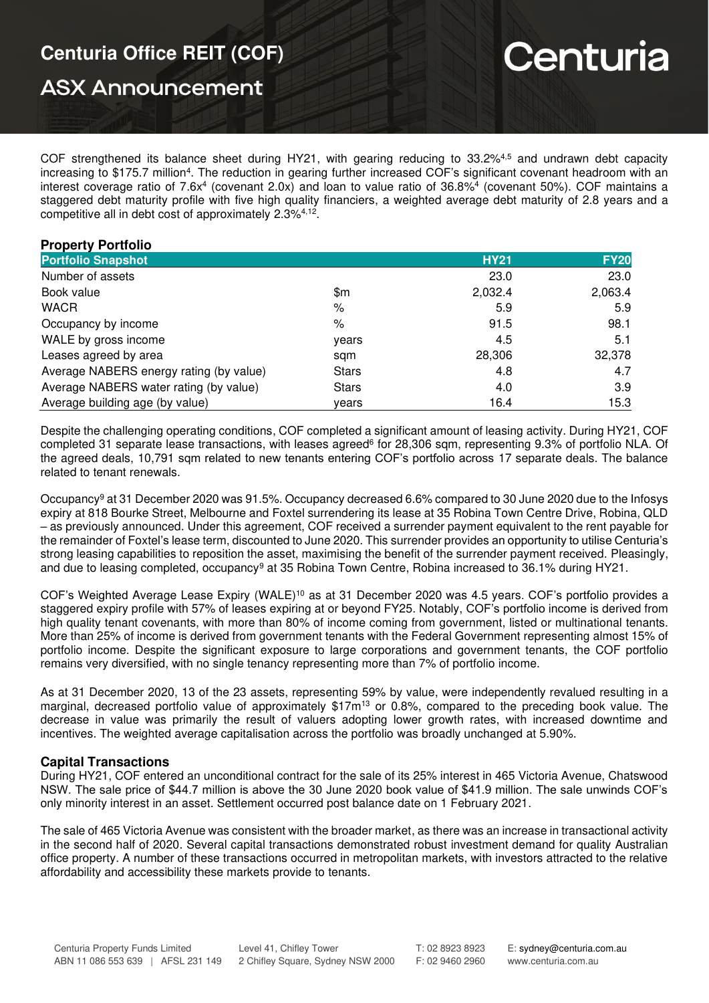## **Centuria Office REIT (COF)**

**ASX Announcement** 

# Centuria

COF strengthened its balance sheet during HY21, with gearing reducing to 33.2%4,5 and undrawn debt capacity increasing to \$175.7 million<sup>4</sup>. The reduction in gearing further increased COF's significant covenant headroom with an interest coverage ratio of 7.6x<sup>4</sup> (covenant 2.0x) and loan to value ratio of 36.8%<sup>4</sup> (covenant 50%). COF maintains a staggered debt maturity profile with five high quality financiers, a weighted average debt maturity of 2.8 years and a competitive all in debt cost of approximately 2.3%4,12 .

## **Property Portfolio**

| <b>Portfolio Snapshot</b>               |               | <b>HY21</b> | <b>FY20</b> |
|-----------------------------------------|---------------|-------------|-------------|
| Number of assets                        |               | 23.0        | 23.0        |
| Book value                              | \$m           | 2,032.4     | 2,063.4     |
| <b>WACR</b>                             | $\frac{1}{2}$ | 5.9         | 5.9         |
| Occupancy by income                     | %             | 91.5        | 98.1        |
| WALE by gross income                    | years         | 4.5         | 5.1         |
| Leases agreed by area                   | sqm           | 28,306      | 32,378      |
| Average NABERS energy rating (by value) | <b>Stars</b>  | 4.8         | 4.7         |
| Average NABERS water rating (by value)  | <b>Stars</b>  | 4.0         | 3.9         |
| Average building age (by value)         | vears         | 16.4        | 15.3        |

Despite the challenging operating conditions, COF completed a significant amount of leasing activity. During HY21, COF completed 31 separate lease transactions, with leases agreed<sup>6</sup> for 28,306 sqm, representing 9.3% of portfolio NLA. Of the agreed deals, 10,791 sqm related to new tenants entering COF's portfolio across 17 separate deals. The balance related to tenant renewals.

Occupancy<sup>9</sup> at 31 December 2020 was 91.5%. Occupancy decreased 6.6% compared to 30 June 2020 due to the Infosys expiry at 818 Bourke Street, Melbourne and Foxtel surrendering its lease at 35 Robina Town Centre Drive, Robina, QLD – as previously announced. Under this agreement, COF received a surrender payment equivalent to the rent payable for the remainder of Foxtel's lease term, discounted to June 2020. This surrender provides an opportunity to utilise Centuria's strong leasing capabilities to reposition the asset, maximising the benefit of the surrender payment received. Pleasingly, and due to leasing completed, occupancy<sup>9</sup> at 35 Robina Town Centre, Robina increased to 36.1% during HY21.

COF's Weighted Average Lease Expiry (WALE)<sup>10</sup> as at 31 December 2020 was 4.5 years. COF's portfolio provides a staggered expiry profile with 57% of leases expiring at or beyond FY25. Notably, COF's portfolio income is derived from high quality tenant covenants, with more than 80% of income coming from government, listed or multinational tenants. More than 25% of income is derived from government tenants with the Federal Government representing almost 15% of portfolio income. Despite the significant exposure to large corporations and government tenants, the COF portfolio remains very diversified, with no single tenancy representing more than 7% of portfolio income.

As at 31 December 2020, 13 of the 23 assets, representing 59% by value, were independently revalued resulting in a marginal, decreased portfolio value of approximately \$17m<sup>13</sup> or 0.8%, compared to the preceding book value. The decrease in value was primarily the result of valuers adopting lower growth rates, with increased downtime and incentives. The weighted average capitalisation across the portfolio was broadly unchanged at 5.90%.

### **Capital Transactions**

During HY21, COF entered an unconditional contract for the sale of its 25% interest in 465 Victoria Avenue, Chatswood NSW. The sale price of \$44.7 million is above the 30 June 2020 book value of \$41.9 million. The sale unwinds COF's only minority interest in an asset. Settlement occurred post balance date on 1 February 2021.

The sale of 465 Victoria Avenue was consistent with the broader market, as there was an increase in transactional activity in the second half of 2020. Several capital transactions demonstrated robust investment demand for quality Australian office property. A number of these transactions occurred in metropolitan markets, with investors attracted to the relative affordability and accessibility these markets provide to tenants.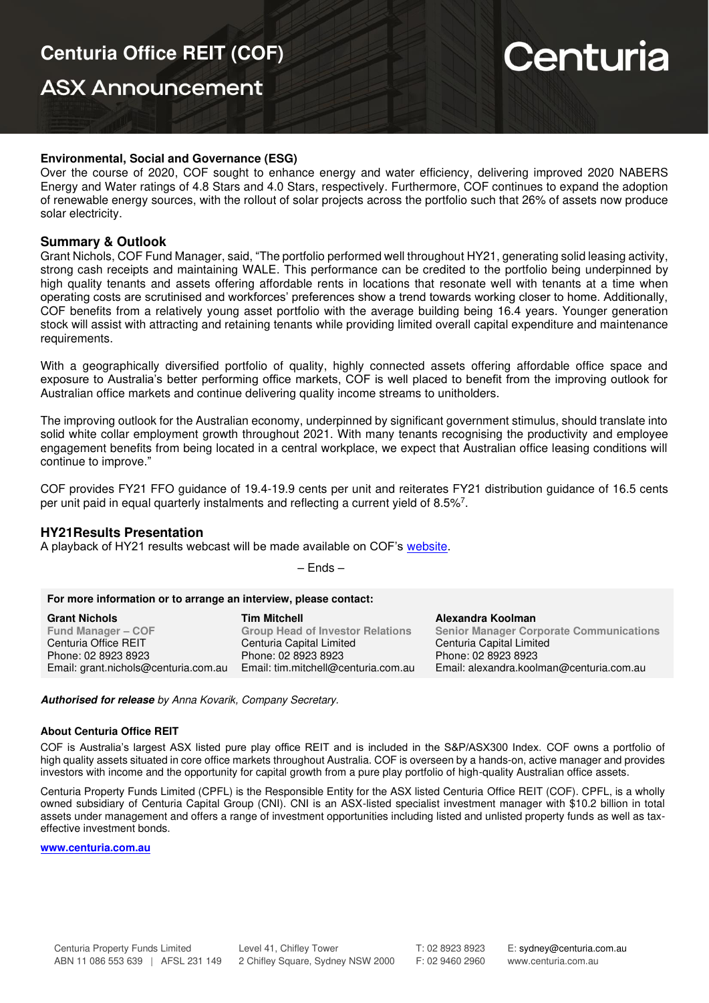## **ASX Announcement**

# Centuria

#### **Environmental, Social and Governance (ESG)**

Over the course of 2020, COF sought to enhance energy and water efficiency, delivering improved 2020 NABERS Energy and Water ratings of 4.8 Stars and 4.0 Stars, respectively. Furthermore, COF continues to expand the adoption of renewable energy sources, with the rollout of solar projects across the portfolio such that 26% of assets now produce solar electricity.

#### **Summary & Outlook**

Grant Nichols, COF Fund Manager, said, "The portfolio performed well throughout HY21, generating solid leasing activity, strong cash receipts and maintaining WALE. This performance can be credited to the portfolio being underpinned by high quality tenants and assets offering affordable rents in locations that resonate well with tenants at a time when operating costs are scrutinised and workforces' preferences show a trend towards working closer to home. Additionally, COF benefits from a relatively young asset portfolio with the average building being 16.4 years. Younger generation stock will assist with attracting and retaining tenants while providing limited overall capital expenditure and maintenance requirements.

With a geographically diversified portfolio of quality, highly connected assets offering affordable office space and exposure to Australia's better performing office markets, COF is well placed to benefit from the improving outlook for Australian office markets and continue delivering quality income streams to unitholders.

The improving outlook for the Australian economy, underpinned by significant government stimulus, should translate into solid white collar employment growth throughout 2021. With many tenants recognising the productivity and employee engagement benefits from being located in a central workplace, we expect that Australian office leasing conditions will continue to improve."

COF provides FY21 FFO guidance of 19.4-19.9 cents per unit and reiterates FY21 distribution guidance of 16.5 cents per unit paid in equal quarterly instalments and reflecting a current yield of 8.5%<sup>7</sup>.

### **HY21Results Presentation**

A playback of HY21 results webcast will be made available on COF's [website.](https://centuria.com.au/cof/HY21-results/)

– Ends –

#### **For more information or to arrange an interview, please contact:**

| <b>Tim Mitchell</b>                     | Alexandra Koolman                              |
|-----------------------------------------|------------------------------------------------|
| <b>Group Head of Investor Relations</b> | <b>Senior Manager Corporate Communications</b> |
| Centuria Capital Limited                | Centuria Capital Limited                       |
| Phone: 02 8923 8923                     | Phone: 02 8923 8923                            |
| Email: tim.mitchell@centuria.com.au     | Email: alexandra.koolman@centuria.com.au       |
|                                         |                                                |

**Authorised for release** by Anna Kovarik, Company Secretary.

#### **About Centuria Office REIT**

COF is Australia's largest ASX listed pure play office REIT and is included in the S&P/ASX300 Index. COF owns a portfolio of high quality assets situated in core office markets throughout Australia. COF is overseen by a hands-on, active manager and provides investors with income and the opportunity for capital growth from a pure play portfolio of high-quality Australian office assets.

Centuria Property Funds Limited (CPFL) is the Responsible Entity for the ASX listed Centuria Office REIT (COF). CPFL, is a wholly owned subsidiary of Centuria Capital Group (CNI). CNI is an ASX-listed specialist investment manager with \$10.2 billion in total assets under management and offers a range of investment opportunities including listed and unlisted property funds as well as taxeffective investment bonds.

**[www.centuria.com.au](http://www.centuria.com.au/)**